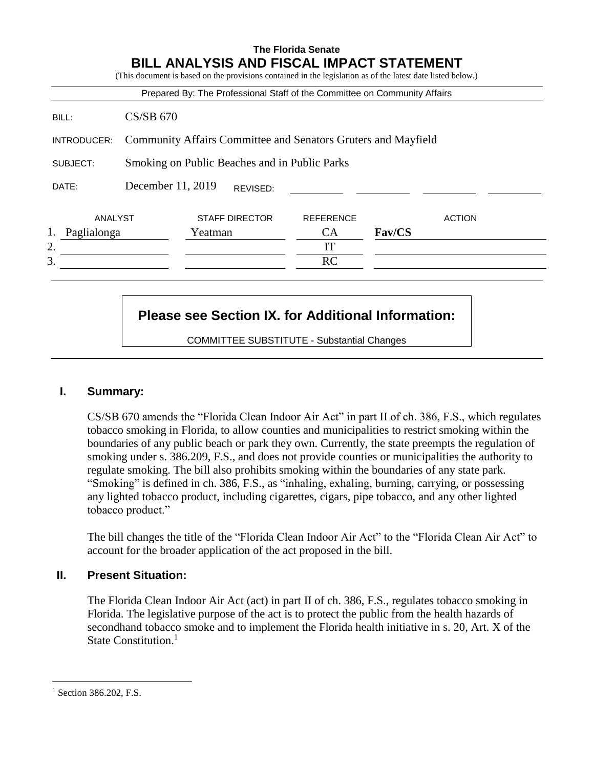|             |                                                               |                                               |                       | Prepared By: The Professional Staff of the Committee on Community Affairs |               |               |
|-------------|---------------------------------------------------------------|-----------------------------------------------|-----------------------|---------------------------------------------------------------------------|---------------|---------------|
| BILL:       | $CS/SB$ 670                                                   |                                               |                       |                                                                           |               |               |
| INTRODUCER: | Community Affairs Committee and Senators Gruters and Mayfield |                                               |                       |                                                                           |               |               |
| SUBJECT:    |                                                               | Smoking on Public Beaches and in Public Parks |                       |                                                                           |               |               |
| DATE:       | December 11, 2019                                             |                                               | REVISED:              |                                                                           |               |               |
| ANALYST     |                                                               |                                               | <b>STAFF DIRECTOR</b> | <b>REFERENCE</b>                                                          |               | <b>ACTION</b> |
| Paglialonga |                                                               | Yeatman                                       |                       | <b>CA</b>                                                                 | <b>Fav/CS</b> |               |
|             |                                                               |                                               |                       | IT                                                                        |               |               |
| 2.<br>3.    |                                                               |                                               |                       | RC                                                                        |               |               |

# **Please see Section IX. for Additional Information:**

COMMITTEE SUBSTITUTE - Substantial Changes

## **I. Summary:**

CS/SB 670 amends the "Florida Clean Indoor Air Act" in part II of ch. 386, F.S., which regulates tobacco smoking in Florida, to allow counties and municipalities to restrict smoking within the boundaries of any public beach or park they own. Currently, the state preempts the regulation of smoking under s. 386.209, F.S., and does not provide counties or municipalities the authority to regulate smoking. The bill also prohibits smoking within the boundaries of any state park. "Smoking" is defined in ch. 386, F.S., as "inhaling, exhaling, burning, carrying, or possessing any lighted tobacco product, including cigarettes, cigars, pipe tobacco, and any other lighted tobacco product."

The bill changes the title of the "Florida Clean Indoor Air Act" to the "Florida Clean Air Act" to account for the broader application of the act proposed in the bill.

## **II. Present Situation:**

The Florida Clean Indoor Air Act (act) in part II of ch. 386, F.S., regulates tobacco smoking in Florida. The legislative purpose of the act is to protect the public from the health hazards of secondhand tobacco smoke and to implement the Florida health initiative in s. 20, Art. X of the State Constitution.<sup>1</sup>

 $\overline{a}$ 

<sup>&</sup>lt;sup>1</sup> Section 386.202, F.S.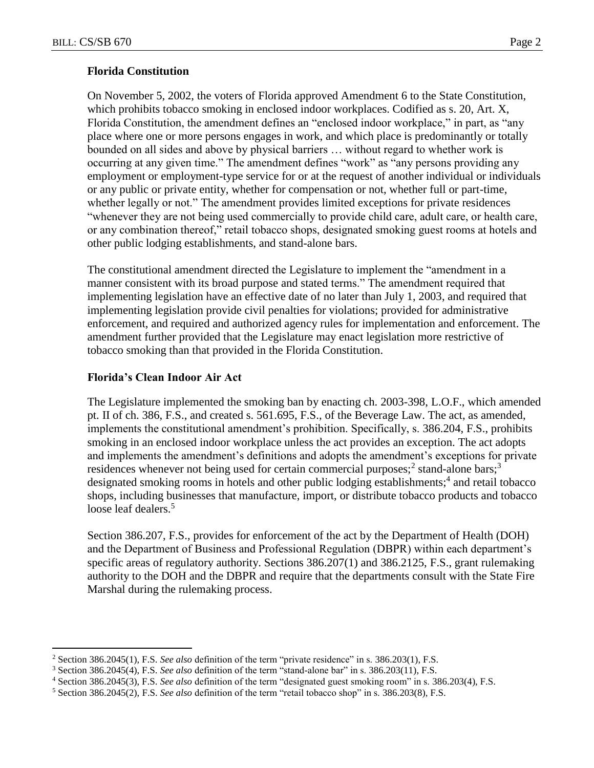$\overline{a}$ 

## **Florida Constitution**

On November 5, 2002, the voters of Florida approved Amendment 6 to the State Constitution, which prohibits tobacco smoking in enclosed indoor workplaces. Codified as s. 20, Art. X, Florida Constitution, the amendment defines an "enclosed indoor workplace," in part, as "any place where one or more persons engages in work, and which place is predominantly or totally bounded on all sides and above by physical barriers … without regard to whether work is occurring at any given time." The amendment defines "work" as "any persons providing any employment or employment-type service for or at the request of another individual or individuals or any public or private entity, whether for compensation or not, whether full or part-time, whether legally or not." The amendment provides limited exceptions for private residences "whenever they are not being used commercially to provide child care, adult care, or health care, or any combination thereof," retail tobacco shops, designated smoking guest rooms at hotels and other public lodging establishments, and stand-alone bars.

The constitutional amendment directed the Legislature to implement the "amendment in a manner consistent with its broad purpose and stated terms." The amendment required that implementing legislation have an effective date of no later than July 1, 2003, and required that implementing legislation provide civil penalties for violations; provided for administrative enforcement, and required and authorized agency rules for implementation and enforcement. The amendment further provided that the Legislature may enact legislation more restrictive of tobacco smoking than that provided in the Florida Constitution.

## **Florida's Clean Indoor Air Act**

The Legislature implemented the smoking ban by enacting ch. 2003-398, L.O.F., which amended pt. II of ch. 386, F.S., and created s. 561.695, F.S., of the Beverage Law. The act, as amended, implements the constitutional amendment's prohibition. Specifically, s. 386.204, F.S., prohibits smoking in an enclosed indoor workplace unless the act provides an exception. The act adopts and implements the amendment's definitions and adopts the amendment's exceptions for private residences whenever not being used for certain commercial purposes;<sup>2</sup> stand-alone bars;<sup>3</sup> designated smoking rooms in hotels and other public lodging establishments;<sup>4</sup> and retail tobacco shops, including businesses that manufacture, import, or distribute tobacco products and tobacco loose leaf dealers.<sup>5</sup>

Section 386.207, F.S., provides for enforcement of the act by the Department of Health (DOH) and the Department of Business and Professional Regulation (DBPR) within each department's specific areas of regulatory authority. Sections 386.207(1) and 386.2125, F.S., grant rulemaking authority to the DOH and the DBPR and require that the departments consult with the State Fire Marshal during the rulemaking process.

<sup>2</sup> Section 386.2045(1), F.S. *See also* definition of the term "private residence" in s. 386.203(1), F.S.

<sup>3</sup> Section 386.2045(4), F.S. *See also* definition of the term "stand-alone bar" in s. 386.203(11), F.S.

<sup>4</sup> Section 386.2045(3), F.S. *See also* definition of the term "designated guest smoking room" in s. 386.203(4), F.S.

<sup>5</sup> Section 386.2045(2), F.S. *See also* definition of the term "retail tobacco shop" in s. 386.203(8), F.S.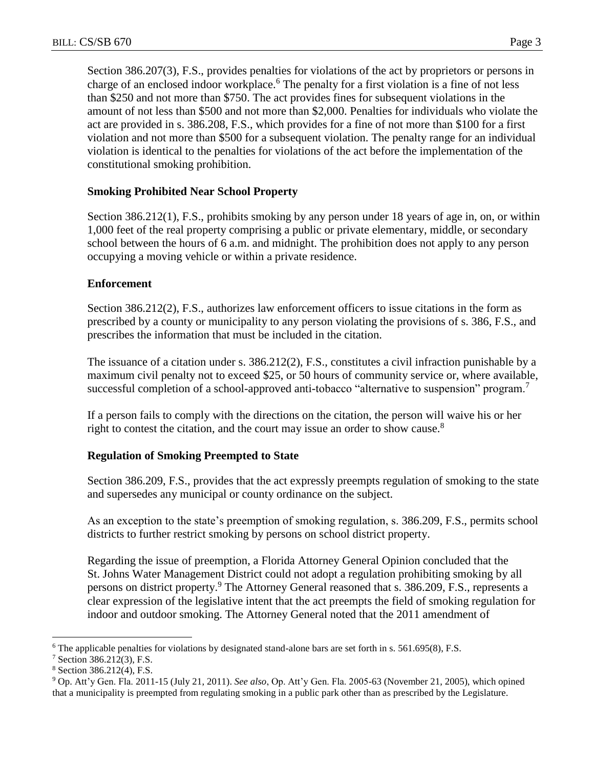Section 386.207(3), F.S., provides penalties for violations of the act by proprietors or persons in charge of an enclosed indoor workplace.<sup>6</sup> The penalty for a first violation is a fine of not less than \$250 and not more than \$750. The act provides fines for subsequent violations in the amount of not less than \$500 and not more than \$2,000. Penalties for individuals who violate the act are provided in s. 386.208, F.S., which provides for a fine of not more than \$100 for a first violation and not more than \$500 for a subsequent violation. The penalty range for an individual violation is identical to the penalties for violations of the act before the implementation of the constitutional smoking prohibition.

#### **Smoking Prohibited Near School Property**

Section 386.212(1), F.S., prohibits smoking by any person under 18 years of age in, on, or within 1,000 feet of the real property comprising a public or private elementary, middle, or secondary school between the hours of 6 a.m. and midnight. The prohibition does not apply to any person occupying a moving vehicle or within a private residence.

#### **Enforcement**

Section 386.212(2), F.S., authorizes law enforcement officers to issue citations in the form as prescribed by a county or municipality to any person violating the provisions of s. 386, F.S., and prescribes the information that must be included in the citation.

The issuance of a citation under s. 386.212(2), F.S., constitutes a civil infraction punishable by a maximum civil penalty not to exceed \$25, or 50 hours of community service or, where available, successful completion of a school-approved anti-tobacco "alternative to suspension" program.<sup>7</sup>

If a person fails to comply with the directions on the citation, the person will waive his or her right to contest the citation, and the court may issue an order to show cause.<sup>8</sup>

#### **Regulation of Smoking Preempted to State**

Section 386.209, F.S., provides that the act expressly preempts regulation of smoking to the state and supersedes any municipal or county ordinance on the subject.

As an exception to the state's preemption of smoking regulation, s. 386.209, F.S., permits school districts to further restrict smoking by persons on school district property.

Regarding the issue of preemption, a Florida Attorney General Opinion concluded that the St. Johns Water Management District could not adopt a regulation prohibiting smoking by all persons on district property.<sup>9</sup> The Attorney General reasoned that s. 386.209, F.S., represents a clear expression of the legislative intent that the act preempts the field of smoking regulation for indoor and outdoor smoking. The Attorney General noted that the 2011 amendment of

 $\overline{a}$ 

<sup>6</sup> The applicable penalties for violations by designated stand-alone bars are set forth in s. 561.695(8), F.S.

<sup>7</sup> Section 386.212(3), F.S.

<sup>8</sup> Section 386.212(4), F.S.

<sup>9</sup> Op. Att'y Gen. Fla. 2011-15 (July 21, 2011). *See also*, Op. Att'y Gen. Fla. 2005-63 (November 21, 2005), which opined that a municipality is preempted from regulating smoking in a public park other than as prescribed by the Legislature.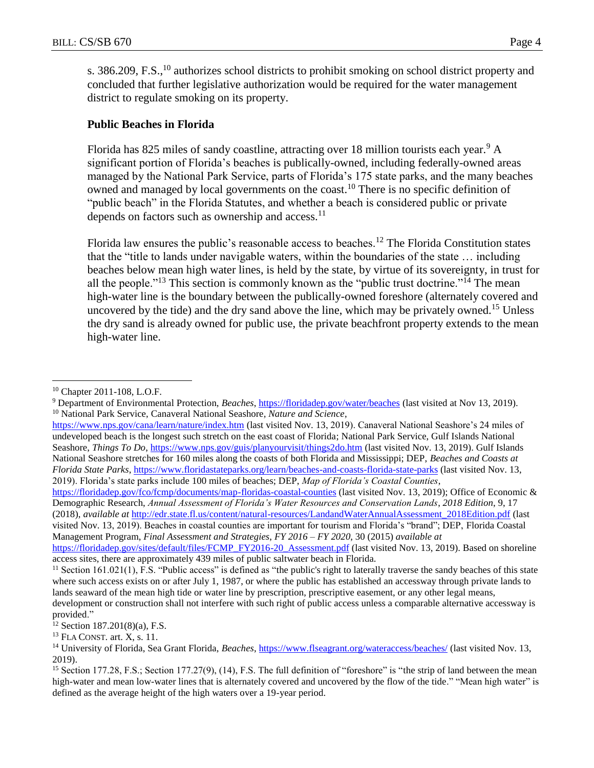s. 386.209, F.S.,<sup>10</sup> authorizes school districts to prohibit smoking on school district property and concluded that further legislative authorization would be required for the water management district to regulate smoking on its property.

## **Public Beaches in Florida**

Florida has 825 miles of sandy coastline, attracting over 18 million tourists each year.<sup>9</sup> A significant portion of Florida's beaches is publically-owned, including federally-owned areas managed by the National Park Service, parts of Florida's 175 state parks, and the many beaches owned and managed by local governments on the coast.<sup>10</sup> There is no specific definition of "public beach" in the Florida Statutes, and whether a beach is considered public or private depends on factors such as ownership and access. $^{11}$ 

Florida law ensures the public's reasonable access to beaches.<sup>12</sup> The Florida Constitution states that the "title to lands under navigable waters, within the boundaries of the state … including beaches below mean high water lines, is held by the state, by virtue of its sovereignty, in trust for all the people."<sup>13</sup> This section is commonly known as the "public trust doctrine."<sup>14</sup> The mean high-water line is the boundary between the publically-owned foreshore (alternately covered and uncovered by the tide) and the dry sand above the line, which may be privately owned.<sup>15</sup> Unless the dry sand is already owned for public use, the private beachfront property extends to the mean high-water line.

 $\overline{a}$ 

<https://www.nps.gov/cana/learn/nature/index.htm> (last visited Nov. 13, 2019). Canaveral National Seashore's 24 miles of undeveloped beach is the longest such stretch on the east coast of Florida; National Park Service, Gulf Islands National Seashore, *Things To Do*,<https://www.nps.gov/guis/planyourvisit/things2do.htm> (last visited Nov. 13, 2019). Gulf Islands National Seashore stretches for 160 miles along the coasts of both Florida and Mississippi; DEP, *Beaches and Coasts at Florida State Parks*, https://www.floridastateparks.org/learn/beaches-and-coasts-florida-state-parks (last visited Nov. 13, 2019). Florida's state parks include 100 miles of beaches; DEP, *Map of Florida's Coastal Counties*,

<https://floridadep.gov/fco/fcmp/documents/map-floridas-coastal-counties> (last visited Nov. 13, 2019); Office of Economic & Demographic Research, *Annual Assessment of Florida's Water Resources and Conservation Lands*, *2018 Edition*, 9, 17 (2018), *available at* [http://edr.state.fl.us/content/natural-resources/LandandWaterAnnualAssessment\\_2018Edition.pdf](http://edr.state.fl.us/content/natural-resources/LandandWaterAnnualAssessment_2018Edition.pdf) (last visited Nov. 13, 2019). Beaches in coastal counties are important for tourism and Florida's "brand"; DEP, Florida Coastal Management Program, *Final Assessment and Strategies*, *FY 2016 – FY 2020*, 30 (2015) *available at* [https://floridadep.gov/sites/default/files/FCMP\\_FY2016-20\\_Assessment.pdf](https://floridadep.gov/sites/default/files/FCMP_FY2016-20_Assessment.pdf) (last visited Nov. 13, 2019). Based on shoreline access sites, there are approximately 439 miles of public saltwater beach in Florida.

<sup>10</sup> Chapter 2011-108, L.O.F.

<sup>&</sup>lt;sup>9</sup> Department of Environmental Protection, *Beaches*, *https://floridadep.gov/water/beaches* (last visited at Nov 13, 2019). <sup>10</sup> National Park Service, Canaveral National Seashore*, Nature and Science*,

 $11$  Section 161.021(1), F.S. "Public access" is defined as "the public's right to laterally traverse the sandy beaches of this state where such access exists on or after July 1, 1987, or where the public has established an accessway through private lands to lands seaward of the mean high tide or water line by prescription, prescriptive easement, or any other legal means, development or construction shall not interfere with such right of public access unless a comparable alternative accessway is provided."

 $12$  Section 187.201(8)(a), F.S.

 $13$  FLA CONST. art. X, s. 11.

<sup>14</sup> University of Florida, Sea Grant Florida, *Beaches*,<https://www.flseagrant.org/wateraccess/beaches/> (last visited Nov. 13, 2019).

<sup>&</sup>lt;sup>15</sup> Section 177.28, F.S.; Section 177.27(9), (14), F.S. The full definition of "foreshore" is "the strip of land between the mean high-water and mean low-water lines that is alternately covered and uncovered by the flow of the tide." "Mean high water" is defined as the average height of the high waters over a 19-year period.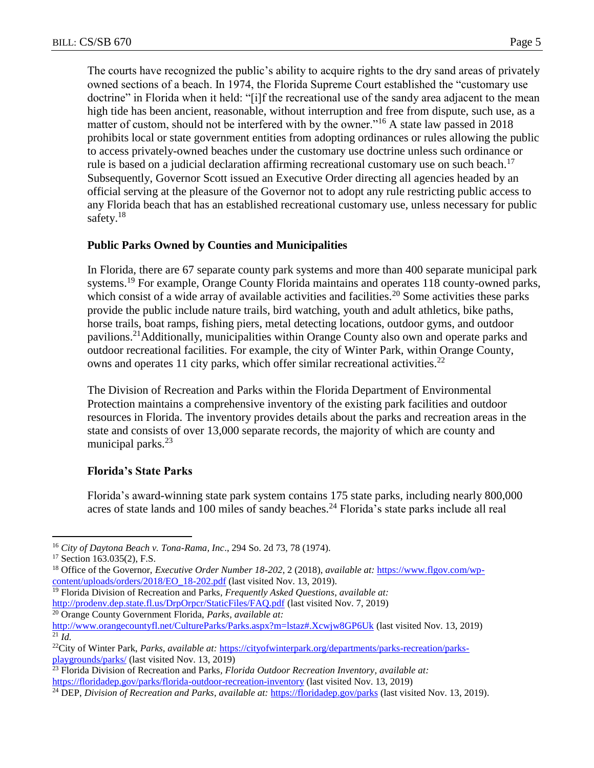The courts have recognized the public's ability to acquire rights to the dry sand areas of privately owned sections of a beach. In 1974, the Florida Supreme Court established the "customary use doctrine" in Florida when it held: "[i]f the recreational use of the sandy area adjacent to the mean high tide has been ancient, reasonable, without interruption and free from dispute, such use, as a matter of custom, should not be interfered with by the owner."<sup>16</sup> A state law passed in 2018 prohibits local or state government entities from adopting ordinances or rules allowing the public to access privately-owned beaches under the customary use doctrine unless such ordinance or rule is based on a judicial declaration affirming recreational customary use on such beach.<sup>17</sup> Subsequently, Governor Scott issued an Executive Order directing all agencies headed by an official serving at the pleasure of the Governor not to adopt any rule restricting public access to any Florida beach that has an established recreational customary use, unless necessary for public safety. $18$ 

## **Public Parks Owned by Counties and Municipalities**

In Florida, there are 67 separate county park systems and more than 400 separate municipal park systems.<sup>19</sup> For example, Orange County Florida maintains and operates 118 county-owned parks, which consist of a wide array of available activities and facilities.<sup>20</sup> Some activities these parks provide the public include nature trails, bird watching, youth and adult athletics, bike paths, horse trails, boat ramps, fishing piers, metal detecting locations, outdoor gyms, and outdoor pavilions.<sup>21</sup>Additionally, municipalities within Orange County also own and operate parks and outdoor recreational facilities. For example, the city of Winter Park, within Orange County, owns and operates 11 city parks, which offer similar recreational activities.<sup>22</sup>

The Division of Recreation and Parks within the Florida Department of Environmental Protection maintains a comprehensive inventory of the existing park facilities and outdoor resources in Florida. The inventory provides details about the parks and recreation areas in the state and consists of over 13,000 separate records, the majority of which are county and municipal parks.<sup>23</sup>

#### **Florida's State Parks**

Florida's award-winning state park system contains 175 state parks, including nearly 800,000 acres of state lands and 100 miles of sandy beaches.<sup>24</sup> Florida's state parks include all real

 $\overline{a}$ 

- <sup>19</sup> Florida Division of Recreation and Parks*, Frequently Asked Questions*, *available at:* <http://prodenv.dep.state.fl.us/DrpOrpcr/StaticFiles/FAQ.pdf> (last visited Nov. 7, 2019)
- <sup>20</sup> Orange County Government Florida, *Parks, available at:*

<sup>16</sup> *City of Daytona Beach v. Tona-Rama, Inc*., 294 So. 2d 73, 78 (1974).

<sup>&</sup>lt;sup>17</sup> Section 163.035(2), F.S.

<sup>18</sup> Office of the Governor, *Executive Order Number 18-202*, 2 (2018), *available at:* [https://www.flgov.com/wp](https://www.flgov.com/wp-content/uploads/orders/2018/EO_18-202.pdf)[content/uploads/orders/2018/EO\\_18-202.pdf](https://www.flgov.com/wp-content/uploads/orders/2018/EO_18-202.pdf) (last visited Nov. 13, 2019).

<http://www.orangecountyfl.net/CultureParks/Parks.aspx?m=lstaz#.Xcwjw8GP6Uk> (last visited Nov. 13, 2019)  $^{21}$  *Id.* 

<sup>22</sup>City of Winter Park, *Parks, available at:* [https://cityofwinterpark.org/departments/parks-recreation/parks](https://cityofwinterpark.org/departments/parks-recreation/parks-playgrounds/parks/)[playgrounds/parks/](https://cityofwinterpark.org/departments/parks-recreation/parks-playgrounds/parks/) (last visited Nov. 13, 2019)

<sup>23</sup> Florida Division of Recreation and Parks*, Florida Outdoor Recreation Inventory, available at:* <https://floridadep.gov/parks/florida-outdoor-recreation-inventory> (last visited Nov. 13, 2019)

<sup>24</sup> DEP, *Division of Recreation and Parks*, *available at:* <https://floridadep.gov/parks> (last visited Nov. 13, 2019).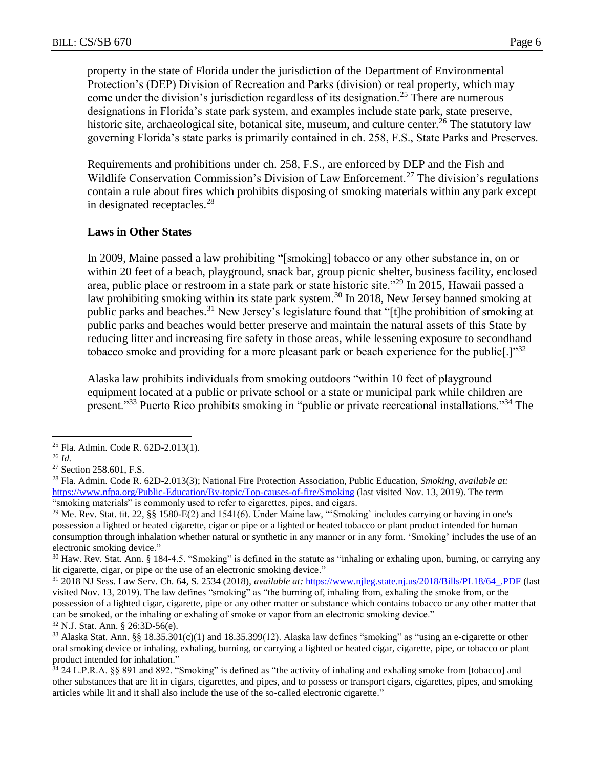property in the state of Florida under the jurisdiction of the Department of Environmental Protection's (DEP) Division of Recreation and Parks (division) or real property, which may come under the division's jurisdiction regardless of its designation.<sup>25</sup> There are numerous designations in Florida's state park system, and examples include state park, state preserve, historic site, archaeological site, botanical site, museum, and culture center.<sup>26</sup> The statutory law governing Florida's state parks is primarily contained in ch. 258, F.S., State Parks and Preserves.

Requirements and prohibitions under ch. 258, F.S., are enforced by DEP and the Fish and Wildlife Conservation Commission's Division of Law Enforcement.<sup>27</sup> The division's regulations contain a rule about fires which prohibits disposing of smoking materials within any park except in designated receptacles.<sup>28</sup>

#### **Laws in Other States**

In 2009, Maine passed a law prohibiting "[smoking] tobacco or any other substance in, on or within 20 feet of a beach, playground, snack bar, group picnic shelter, business facility, enclosed area, public place or restroom in a state park or state historic site."<sup>29</sup> In 2015, Hawaii passed a law prohibiting smoking within its state park system.<sup>30</sup> In 2018, New Jersey banned smoking at public parks and beaches.<sup>31</sup> New Jersey's legislature found that "[t]he prohibition of smoking at public parks and beaches would better preserve and maintain the natural assets of this State by reducing litter and increasing fire safety in those areas, while lessening exposure to secondhand tobacco smoke and providing for a more pleasant park or beach experience for the public<sup>[1,1,132</sup>]

Alaska law prohibits individuals from smoking outdoors "within 10 feet of playground equipment located at a public or private school or a state or municipal park while children are present."<sup>33</sup> Puerto Rico prohibits smoking in "public or private recreational installations."<sup>34</sup> The

 $\overline{a}$ 

<sup>32</sup> N.J. Stat. Ann. § 26:3D-56(e).

<sup>25</sup> Fla. Admin. Code R. 62D-2.013(1).

<sup>26</sup> *Id.*

<sup>&</sup>lt;sup>27</sup> Section 258.601, F.S.

<sup>28</sup> Fla. Admin. Code R. 62D-2.013(3); National Fire Protection Association, Public Education, *Smoking*, *available at:*  <https://www.nfpa.org/Public-Education/By-topic/Top-causes-of-fire/Smoking> (last visited Nov. 13, 2019). The term "smoking materials" is commonly used to refer to cigarettes, pipes, and cigars.

<sup>&</sup>lt;sup>29</sup> Me. Rev. Stat. tit. 22, §§ 1580-E(2) and 1541(6). Under Maine law, "Smoking' includes carrying or having in one's possession a lighted or heated cigarette, cigar or pipe or a lighted or heated tobacco or plant product intended for human consumption through inhalation whether natural or synthetic in any manner or in any form. 'Smoking' includes the use of an electronic smoking device."

<sup>30</sup> Haw. Rev. Stat. Ann. § 184-4.5. "Smoking" is defined in the statute as "inhaling or exhaling upon, burning, or carrying any lit cigarette, cigar, or pipe or the use of an electronic smoking device."

<sup>31</sup> 2018 NJ Sess. Law Serv. Ch. 64, S. 2534 (2018), *available at:* [https://www.njleg.state.nj.us/2018/Bills/PL18/64\\_.PDF](https://www.njleg.state.nj.us/2018/Bills/PL18/64_.PDF) (last visited Nov. 13, 2019). The law defines "smoking" as "the burning of, inhaling from, exhaling the smoke from, or the possession of a lighted cigar, cigarette, pipe or any other matter or substance which contains tobacco or any other matter that can be smoked, or the inhaling or exhaling of smoke or vapor from an electronic smoking device."

 $33$  Alaska Stat. Ann. §§ 18.35.301(c)(1) and 18.35.399(12). Alaska law defines "smoking" as "using an e-cigarette or other oral smoking device or inhaling, exhaling, burning, or carrying a lighted or heated cigar, cigarette, pipe, or tobacco or plant product intended for inhalation."

<sup>34</sup> 24 L.P.R.A. §§ 891 and 892. "Smoking" is defined as "the activity of inhaling and exhaling smoke from [tobacco] and other substances that are lit in cigars, cigarettes, and pipes, and to possess or transport cigars, cigarettes, pipes, and smoking articles while lit and it shall also include the use of the so-called electronic cigarette."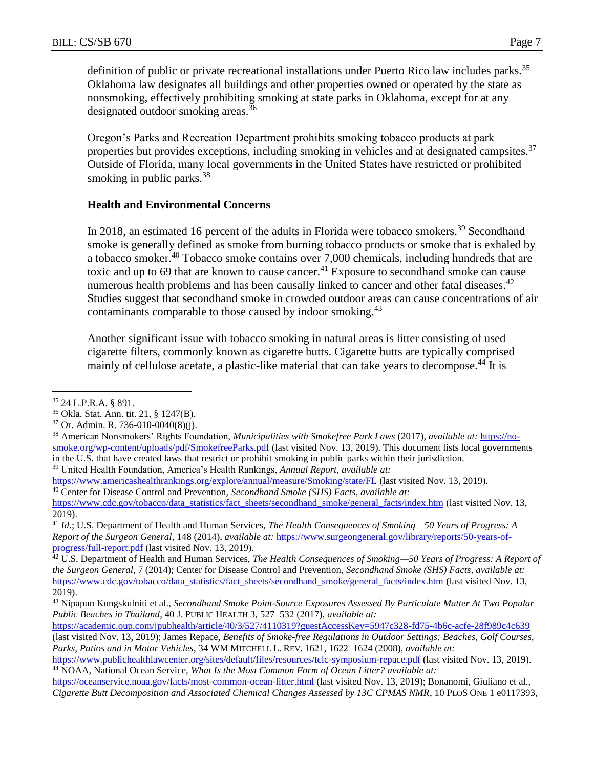definition of public or private recreational installations under Puerto Rico law includes parks.<sup>35</sup> Oklahoma law designates all buildings and other properties owned or operated by the state as nonsmoking, effectively prohibiting smoking at state parks in Oklahoma, except for at any designated outdoor smoking areas.<sup>36</sup>

Oregon's Parks and Recreation Department prohibits smoking tobacco products at park properties but provides exceptions, including smoking in vehicles and at designated campsites.<sup>37</sup> Outside of Florida, many local governments in the United States have restricted or prohibited smoking in public parks.<sup>38</sup>

## **Health and Environmental Concerns**

In 2018, an estimated 16 percent of the adults in Florida were tobacco smokers.<sup>39</sup> Secondhand smoke is generally defined as smoke from burning tobacco products or smoke that is exhaled by a tobacco smoker.<sup>40</sup> Tobacco smoke contains over 7,000 chemicals, including hundreds that are toxic and up to 69 that are known to cause cancer.<sup>41</sup> Exposure to secondhand smoke can cause numerous health problems and has been causally linked to cancer and other fatal diseases.<sup>42</sup> Studies suggest that secondhand smoke in crowded outdoor areas can cause concentrations of air contaminants comparable to those caused by indoor smoking.<sup>43</sup>

Another significant issue with tobacco smoking in natural areas is litter consisting of used cigarette filters, commonly known as cigarette butts. Cigarette butts are typically comprised mainly of cellulose acetate, a plastic-like material that can take years to decompose.<sup>44</sup> It is

<https://academic.oup.com/jpubhealth/article/40/3/527/4110319?guestAccessKey=5947c328-fd75-4b6c-acfe-28f989c4c639> (last visited Nov. 13, 2019); James Repace, *Benefits of Smoke-free Regulations in Outdoor Settings: Beaches, Golf Courses, Parks, Patios and in Motor Vehicles*, 34 WM MITCHELL L. REV. 1621, 1622–1624 (2008), *available at:*

 $\overline{a}$ <sup>35</sup> 24 L.P.R.A. § 891.

<sup>36</sup> Okla. Stat. Ann. tit. 21, § 1247(B).

<sup>37</sup> Or. Admin. R. 736-010-0040(8)(j).

<sup>38</sup> American Nonsmokers' Rights Foundation, *Municipalities with Smokefree Park Laws* (2017), *available at:* [https://no](https://no-smoke.org/wp-content/uploads/pdf/SmokefreeParks.pdf)[smoke.org/wp-content/uploads/pdf/SmokefreeParks.pdf](https://no-smoke.org/wp-content/uploads/pdf/SmokefreeParks.pdf) (last visited Nov. 13, 2019). This document lists local governments in the U.S. that have created laws that restrict or prohibit smoking in public parks within their jurisdiction. <sup>39</sup> United Health Foundation, America's Health Rankings, *Annual Report*, *available at:*

<https://www.americashealthrankings.org/explore/annual/measure/Smoking/state/FL> (last visited Nov. 13, 2019). <sup>40</sup> Center for Disease Control and Prevention, *Secondhand Smoke (SHS) Facts*, *available at:* 

[https://www.cdc.gov/tobacco/data\\_statistics/fact\\_sheets/secondhand\\_smoke/general\\_facts/index.htm](https://www.cdc.gov/tobacco/data_statistics/fact_sheets/secondhand_smoke/general_facts/index.htm) (last visited Nov. 13, 2019).

<sup>41</sup> *Id*.; U.S. Department of Health and Human Services, *The Health Consequences of Smoking—50 Years of Progress: A Report of the Surgeon General*, 148 (2014), *available at:* [https://www.surgeongeneral.gov/library/reports/50-years-of](https://www.surgeongeneral.gov/library/reports/50-years-of-progress/full-report.pdf)[progress/full-report.pdf](https://www.surgeongeneral.gov/library/reports/50-years-of-progress/full-report.pdf) (last visited Nov. 13, 2019).

<sup>42</sup> U.S. Department of Health and Human Services, *The Health Consequences of Smoking—50 Years of Progress: A Report of the Surgeon General*, 7 (2014); Center for Disease Control and Prevention, *Secondhand Smoke (SHS) Facts*, *available at:*  [https://www.cdc.gov/tobacco/data\\_statistics/fact\\_sheets/secondhand\\_smoke/general\\_facts/index.htm](https://www.cdc.gov/tobacco/data_statistics/fact_sheets/secondhand_smoke/general_facts/index.htm) (last visited Nov. 13, 2019).

<sup>43</sup> Nipapun Kungskulniti et al., *Secondhand Smoke Point-Source Exposures Assessed By Particulate Matter At Two Popular Public Beaches in Thailand*, 40 J. PUBLIC HEALTH 3, 527–532 (2017), *available at:*

<https://www.publichealthlawcenter.org/sites/default/files/resources/tclc-symposium-repace.pdf> (last visited Nov. 13, 2019). <sup>44</sup> NOAA, National Ocean Service, *What Is the Most Common Form of Ocean Litter? available at:* 

<https://oceanservice.noaa.gov/facts/most-common-ocean-litter.html> (last visited Nov. 13, 2019); Bonanomi, Giuliano et al., *Cigarette Butt Decomposition and Associated Chemical Changes Assessed by 13C CPMAS NMR*, 10 PLOS ONE 1 e0117393,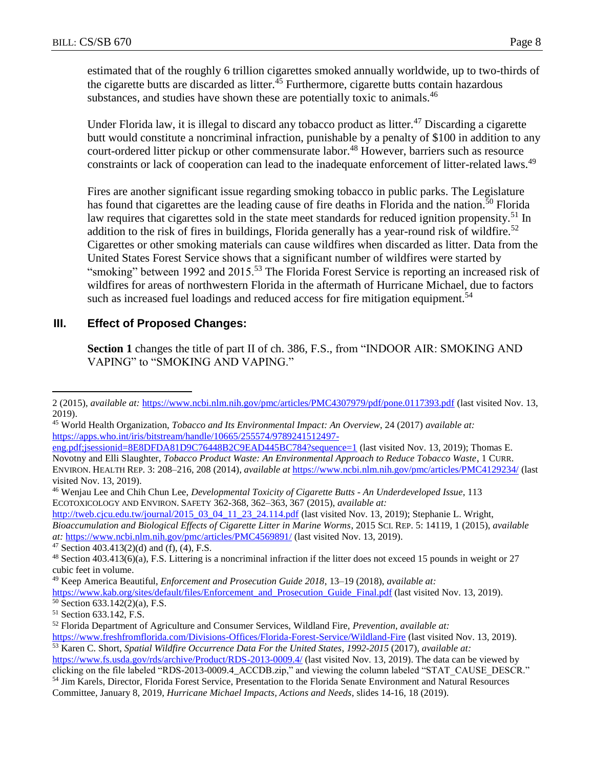estimated that of the roughly 6 trillion cigarettes smoked annually worldwide, up to two-thirds of the cigarette butts are discarded as litter.<sup>45</sup> Furthermore, cigarette butts contain hazardous substances, and studies have shown these are potentially toxic to animals.<sup>46</sup>

Under Florida law, it is illegal to discard any tobacco product as litter.<sup>47</sup> Discarding a cigarette butt would constitute a noncriminal infraction, punishable by a penalty of \$100 in addition to any court-ordered litter pickup or other commensurate labor.<sup>48</sup> However, barriers such as resource constraints or lack of cooperation can lead to the inadequate enforcement of litter-related laws.<sup>49</sup>

Fires are another significant issue regarding smoking tobacco in public parks. The Legislature has found that cigarettes are the leading cause of fire deaths in Florida and the nation.<sup>50</sup> Florida law requires that cigarettes sold in the state meet standards for reduced ignition propensity.<sup>51</sup> In addition to the risk of fires in buildings, Florida generally has a year-round risk of wildfire.<sup>52</sup> Cigarettes or other smoking materials can cause wildfires when discarded as litter. Data from the United States Forest Service shows that a significant number of wildfires were started by "smoking" between 1992 and 2015.<sup>53</sup> The Florida Forest Service is reporting an increased risk of wildfires for areas of northwestern Florida in the aftermath of Hurricane Michael, due to factors such as increased fuel loadings and reduced access for fire mitigation equipment.<sup>54</sup>

## **III. Effect of Proposed Changes:**

**Section 1** changes the title of part II of ch. 386, F.S., from "INDOOR AIR: SMOKING AND VAPING" to "SMOKING AND VAPING."

[http://tweb.cjcu.edu.tw/journal/2015\\_03\\_04\\_11\\_23\\_24.114.pdf](http://tweb.cjcu.edu.tw/journal/2015_03_04_11_23_24.114.pdf) (last visited Nov. 13, 2019); Stephanie L. Wright, *Bioaccumulation and Biological Effects of Cigarette Litter in Marine Worms*, 2015 SCI. REP. 5: 14119, 1 (2015), *available at:* <https://www.ncbi.nlm.nih.gov/pmc/articles/PMC4569891/> (last visited Nov. 13, 2019).

 $\overline{a}$ 2 (2015), *available at:* <https://www.ncbi.nlm.nih.gov/pmc/articles/PMC4307979/pdf/pone.0117393.pdf> (last visited Nov. 13, 2019).

<sup>45</sup> World Health Organization, *Tobacco and Its Environmental Impact: An Overview*, 24 (2017) *available at:* [https://apps.who.int/iris/bitstream/handle/10665/255574/9789241512497-](https://apps.who.int/iris/bitstream/handle/10665/255574/9789241512497-eng.pdf;jsessionid=8E8DFDA81D9C76448B2C9EAD445BC784?sequence=1)

[eng.pdf;jsessionid=8E8DFDA81D9C76448B2C9EAD445BC784?sequence=1](https://apps.who.int/iris/bitstream/handle/10665/255574/9789241512497-eng.pdf;jsessionid=8E8DFDA81D9C76448B2C9EAD445BC784?sequence=1) (last visited Nov. 13, 2019); Thomas E. Novotny and Elli Slaughter, *Tobacco Product Waste: An Environmental Approach to Reduce Tobacco Waste*, 1 CURR. ENVIRON. HEALTH REP. 3: 208–216, 208 (2014), *available at* <https://www.ncbi.nlm.nih.gov/pmc/articles/PMC4129234/> (last visited Nov. 13, 2019).

<sup>46</sup> Wenjau Lee and Chih Chun Lee, *Developmental Toxicity of Cigarette Butts - An Underdeveloped Issue*, 113 ECOTOXICOLOGY AND ENVIRON. SAFETY 362-368, 362–363, 367 (2015), *available at:*

<sup>&</sup>lt;sup>47</sup> Section 403.413(2)(d) and (f), (4), F.S.

<sup>48</sup> Section 403.413(6)(a), F.S. Littering is a noncriminal infraction if the litter does not exceed 15 pounds in weight or 27 cubic feet in volume.

<sup>49</sup> Keep America Beautiful, *Enforcement and Prosecution Guide 2018*, 13–19 (2018), *available at:*

[https://www.kab.org/sites/default/files/Enforcement\\_and\\_Prosecution\\_Guide\\_Final.pdf](https://www.kab.org/sites/default/files/Enforcement_and_Prosecution_Guide_Final.pdf) (last visited Nov. 13, 2019).

<sup>50</sup> Section 633.142(2)(a), F.S.

<sup>51</sup> Section 633.142, F.S.

<sup>52</sup> Florida Department of Agriculture and Consumer Services, Wildland Fire, *Prevention*, *available at:*  <https://www.freshfromflorida.com/Divisions-Offices/Florida-Forest-Service/Wildland-Fire> (last visited Nov. 13, 2019).

<sup>53</sup> Karen C. Short, *Spatial Wildfire Occurrence Data For the United States*, *1992-2015* (2017), *available at:* <https://www.fs.usda.gov/rds/archive/Product/RDS-2013-0009.4/> (last visited Nov. 13, 2019). The data can be viewed by

clicking on the file labeled "RDS-2013-0009.4\_ACCDB.zip," and viewing the column labeled "STAT\_CAUSE\_DESCR." <sup>54</sup> Jim Karels, Director, Florida Forest Service, Presentation to the Florida Senate Environment and Natural Resources Committee, January 8, 2019, *Hurricane Michael Impacts, Actions and Needs*, slides 14-16, 18 (2019).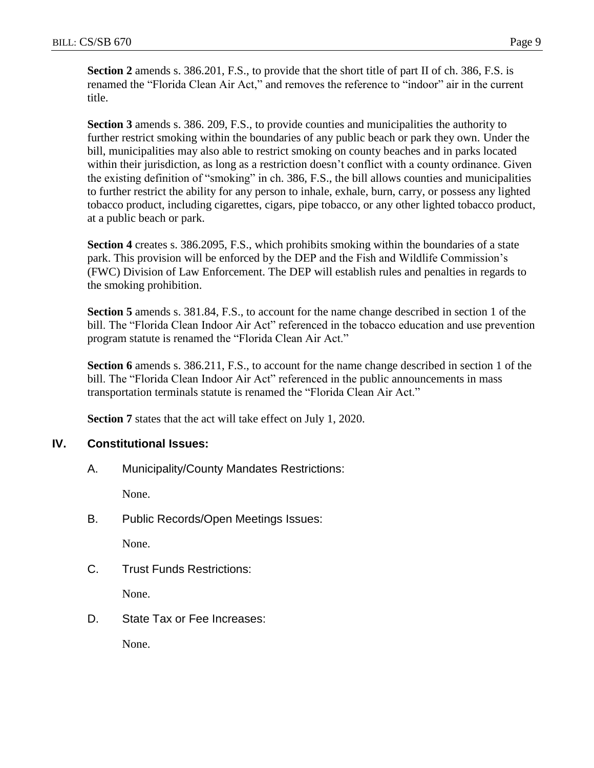**Section 2** amends s. 386.201, F.S., to provide that the short title of part II of ch. 386, F.S. is renamed the "Florida Clean Air Act," and removes the reference to "indoor" air in the current title.

**Section 3** amends s. 386. 209, F.S., to provide counties and municipalities the authority to further restrict smoking within the boundaries of any public beach or park they own. Under the bill, municipalities may also able to restrict smoking on county beaches and in parks located within their jurisdiction, as long as a restriction doesn't conflict with a county ordinance. Given the existing definition of "smoking" in ch. 386, F.S., the bill allows counties and municipalities to further restrict the ability for any person to inhale, exhale, burn, carry, or possess any lighted tobacco product, including cigarettes, cigars, pipe tobacco, or any other lighted tobacco product, at a public beach or park.

**Section 4** creates s. 386.2095, F.S., which prohibits smoking within the boundaries of a state park. This provision will be enforced by the DEP and the Fish and Wildlife Commission's (FWC) Division of Law Enforcement. The DEP will establish rules and penalties in regards to the smoking prohibition.

**Section 5** amends s. 381.84, F.S., to account for the name change described in section 1 of the bill. The "Florida Clean Indoor Air Act" referenced in the tobacco education and use prevention program statute is renamed the "Florida Clean Air Act."

**Section 6** amends s. 386.211, F.S., to account for the name change described in section 1 of the bill. The "Florida Clean Indoor Air Act" referenced in the public announcements in mass transportation terminals statute is renamed the "Florida Clean Air Act."

**Section 7** states that the act will take effect on July 1, 2020.

## **IV. Constitutional Issues:**

A. Municipality/County Mandates Restrictions:

None.

B. Public Records/Open Meetings Issues:

None.

C. Trust Funds Restrictions:

None.

D. State Tax or Fee Increases:

None.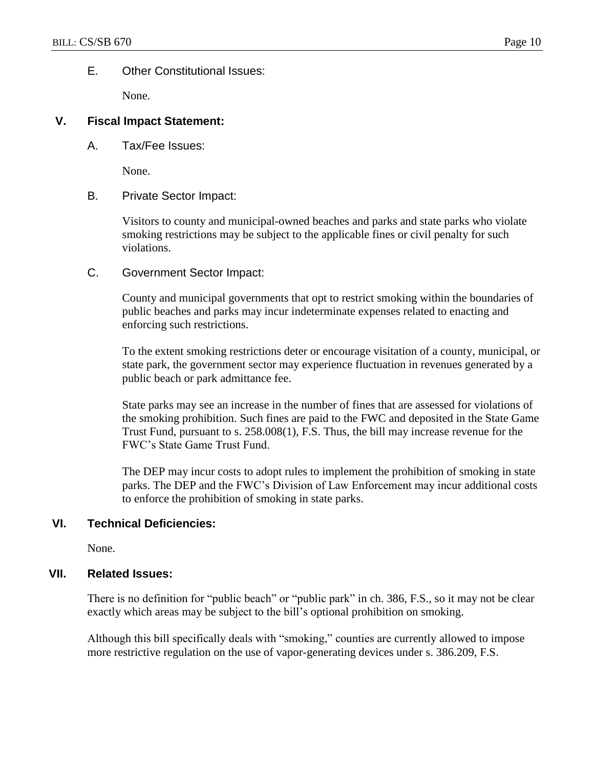## E. Other Constitutional Issues:

None.

## **V. Fiscal Impact Statement:**

A. Tax/Fee Issues:

None.

## B. Private Sector Impact:

Visitors to county and municipal-owned beaches and parks and state parks who violate smoking restrictions may be subject to the applicable fines or civil penalty for such violations.

C. Government Sector Impact:

County and municipal governments that opt to restrict smoking within the boundaries of public beaches and parks may incur indeterminate expenses related to enacting and enforcing such restrictions.

To the extent smoking restrictions deter or encourage visitation of a county, municipal, or state park, the government sector may experience fluctuation in revenues generated by a public beach or park admittance fee.

State parks may see an increase in the number of fines that are assessed for violations of the smoking prohibition. Such fines are paid to the FWC and deposited in the State Game Trust Fund, pursuant to s. 258.008(1), F.S. Thus, the bill may increase revenue for the FWC's State Game Trust Fund.

The DEP may incur costs to adopt rules to implement the prohibition of smoking in state parks. The DEP and the FWC's Division of Law Enforcement may incur additional costs to enforce the prohibition of smoking in state parks.

## **VI. Technical Deficiencies:**

None.

## **VII. Related Issues:**

There is no definition for "public beach" or "public park" in ch. 386, F.S., so it may not be clear exactly which areas may be subject to the bill's optional prohibition on smoking.

Although this bill specifically deals with "smoking," counties are currently allowed to impose more restrictive regulation on the use of vapor-generating devices under s. 386.209, F.S.